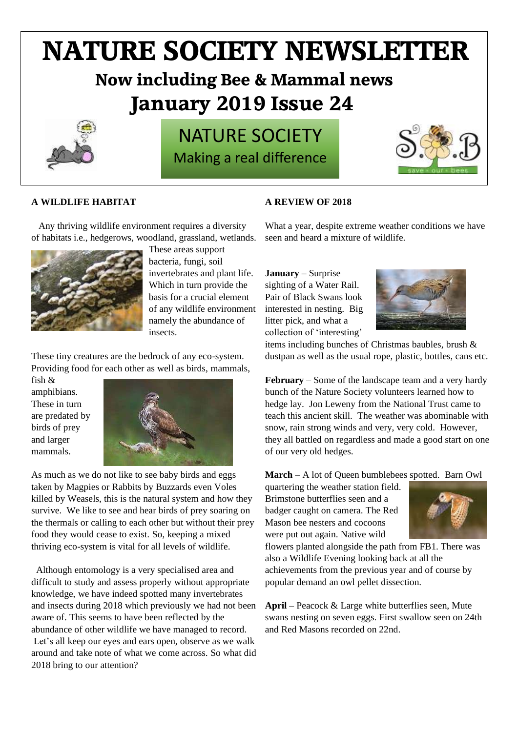# **NATURE SOCIETY NEWSLETTER**

# **Now including Bee & Mammal news January 2019 Issue 24**



# NATURE SOCIETY Making a real difference



## **A WILDLIFE HABITAT**

### **A REVIEW OF 2018**

 Any thriving wildlife environment requires a diversity of habitats i.e., hedgerows, woodland, grassland, wetlands.



These areas support bacteria, fungi, soil invertebrates and plant life. Which in turn provide the basis for a crucial element of any wildlife environment namely the abundance of insects.

These tiny creatures are the bedrock of any eco-system. Providing food for each other as well as birds, mammals,

fish & amphibians. These in turn are predated by birds of prey and larger mammals.



As much as we do not like to see baby birds and eggs taken by Magpies or Rabbits by Buzzards even Voles killed by Weasels, this is the natural system and how they survive. We like to see and hear birds of prey soaring on the thermals or calling to each other but without their prey food they would cease to exist. So, keeping a mixed thriving eco-system is vital for all levels of wildlife.

Although entomology is a very specialised area and difficult to study and assess properly without appropriate knowledge, we have indeed spotted many invertebrates and insects during 2018 which previously we had not been aware of. This seems to have been reflected by the abundance of other wildlife we have managed to record. Let's all keep our eyes and ears open, observe as we walk around and take note of what we come across. So what did 2018 bring to our attention?

What a year, despite extreme weather conditions we have seen and heard a mixture of wildlife.

**January –** Surprise sighting of a Water Rail. Pair of Black Swans look interested in nesting. Big litter pick, and what a collection of 'interesting'



items including bunches of Christmas baubles, brush & dustpan as well as the usual rope, plastic, bottles, cans etc.

**February** – Some of the landscape team and a very hardy bunch of the Nature Society volunteers learned how to hedge lay. Jon Leweny from the National Trust came to teach this ancient skill. The weather was abominable with snow, rain strong winds and very, very cold. However, they all battled on regardless and made a good start on one of our very old hedges.

**March** – A lot of Queen bumblebees spotted. Barn Owl

quartering the weather station field. Brimstone butterflies seen and a badger caught on camera. The Red Mason bee nesters and cocoons were put out again. Native wild



flowers planted alongside the path from FB1. There was also a Wildlife Evening looking back at all the achievements from the previous year and of course by popular demand an owl pellet dissection.

**April** – Peacock & Large white butterflies seen, Mute swans nesting on seven eggs. First swallow seen on 24th and Red Masons recorded on 22nd.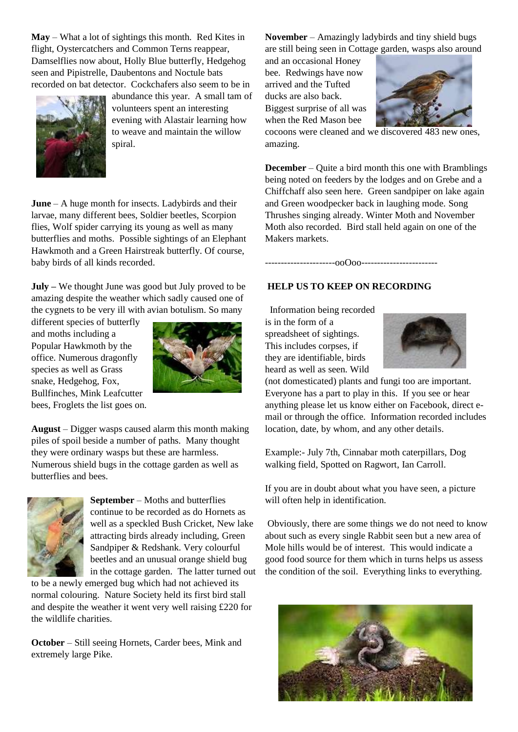**May** – What a lot of sightings this month. Red Kites in flight, Oystercatchers and Common Terns reappear, Damselflies now about, Holly Blue butterfly, Hedgehog seen and Pipistrelle, Daubentons and Noctule bats recorded on bat detector. Cockchafers also seem to be in



abundance this year. A small tam of volunteers spent an interesting evening with Alastair learning how to weave and maintain the willow spiral.

**June** – A huge month for insects. Ladybirds and their larvae, many different bees, Soldier beetles, Scorpion flies, Wolf spider carrying its young as well as many butterflies and moths. Possible sightings of an Elephant Hawkmoth and a Green Hairstreak butterfly. Of course, baby birds of all kinds recorded.

**July –** We thought June was good but July proved to be amazing despite the weather which sadly caused one of the cygnets to be very ill with avian botulism. So many

different species of butterfly and moths including a Popular Hawkmoth by the office. Numerous dragonfly species as well as Grass snake, Hedgehog, Fox, Bullfinches, Mink Leafcutter bees, Froglets the list goes on.



**August** – Digger wasps caused alarm this month making piles of spoil beside a number of paths. Many thought they were ordinary wasps but these are harmless. Numerous shield bugs in the cottage garden as well as butterflies and bees.



**September** – Moths and butterflies continue to be recorded as do Hornets as well as a speckled Bush Cricket, New lake attracting birds already including, Green Sandpiper & Redshank. Very colourful beetles and an unusual orange shield bug in the cottage garden. The latter turned out

to be a newly emerged bug which had not achieved its normal colouring. Nature Society held its first bird stall and despite the weather it went very well raising £220 for the wildlife charities.

**October** – Still seeing Hornets, Carder bees, Mink and extremely large Pike.

**November** – Amazingly ladybirds and tiny shield bugs are still being seen in Cottage garden, wasps also around

and an occasional Honey bee. Redwings have now arrived and the Tufted ducks are also back. Biggest surprise of all was when the Red Mason bee



cocoons were cleaned and we discovered 483 new ones, amazing.

**December** – Quite a bird month this one with Bramblings being noted on feeders by the lodges and on Grebe and a Chiffchaff also seen here. Green sandpiper on lake again and Green woodpecker back in laughing mode. Song Thrushes singing already. Winter Moth and November Moth also recorded. Bird stall held again on one of the Makers markets.

### **HELP US TO KEEP ON RECORDING**

----------------------ooOoo------------------------

 Information being recorded is in the form of a spreadsheet of sightings. This includes corpses, if they are identifiable, birds heard as well as seen. Wild



(not domesticated) plants and fungi too are important. Everyone has a part to play in this. If you see or hear anything please let us know either on Facebook, direct email or through the office. Information recorded includes location, date, by whom, and any other details.

Example:- July 7th, Cinnabar moth caterpillars, Dog walking field, Spotted on Ragwort, Ian Carroll.

If you are in doubt about what you have seen, a picture will often help in identification.

Obviously, there are some things we do not need to know about such as every single Rabbit seen but a new area of Mole hills would be of interest. This would indicate a good food source for them which in turns helps us assess the condition of the soil. Everything links to everything.

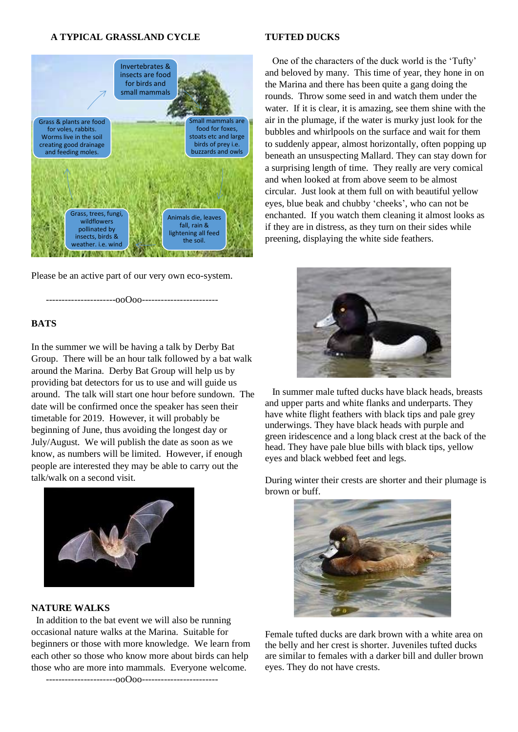#### **A TYPICAL GRASSLAND CYCLE**



Please be an active part of our very own eco-system.

----------------------ooOoo------------------------

#### **BATS**

In the summer we will be having a talk by Derby Bat Group. There will be an hour talk followed by a bat walk around the Marina. Derby Bat Group will help us by providing bat detectors for us to use and will guide us around. The talk will start one hour before sundown. The date will be confirmed once the speaker has seen their timetable for 2019. However, it will probably be beginning of June, thus avoiding the longest day or July/August. We will publish the date as soon as we know, as numbers will be limited. However, if enough people are interested they may be able to carry out the talk/walk on a second visit.



**NATURE WALKS**

 In addition to the bat event we will also be running occasional nature walks at the Marina. Suitable for beginners or those with more knowledge. We learn from each other so those who know more about birds can help those who are more into mammals. Everyone welcome.

----------------------ooOoo------------------------

#### **TUFTED DUCKS**

 One of the characters of the duck world is the 'Tufty' and beloved by many. This time of year, they hone in on the Marina and there has been quite a gang doing the rounds. Throw some seed in and watch them under the water. If it is clear, it is amazing, see them shine with the air in the plumage, if the water is murky just look for the bubbles and whirlpools on the surface and wait for them to suddenly appear, almost horizontally, often popping up beneath an unsuspecting Mallard. They can stay down for a surprising length of time. They really are very comical and when looked at from above seem to be almost circular. Just look at them full on with beautiful yellow eyes, blue beak and chubby 'cheeks', who can not be enchanted. If you watch them cleaning it almost looks as if they are in distress, as they turn on their sides while preening, displaying the white side feathers.



 In summer male tufted ducks have black heads, breasts and upper parts and white flanks and underparts. They have white flight feathers with black tips and pale grey underwings. They have black heads with purple and green iridescence and a long black crest at the back of the head. They have pale blue bills with black tips, yellow eyes and black webbed feet and legs.

During winter their crests are shorter and their plumage is brown or buff.



Female tufted ducks are dark brown with a white area on the belly and her crest is shorter. Juveniles tufted ducks are similar to females with a darker bill and duller brown eyes. They do not have crests.